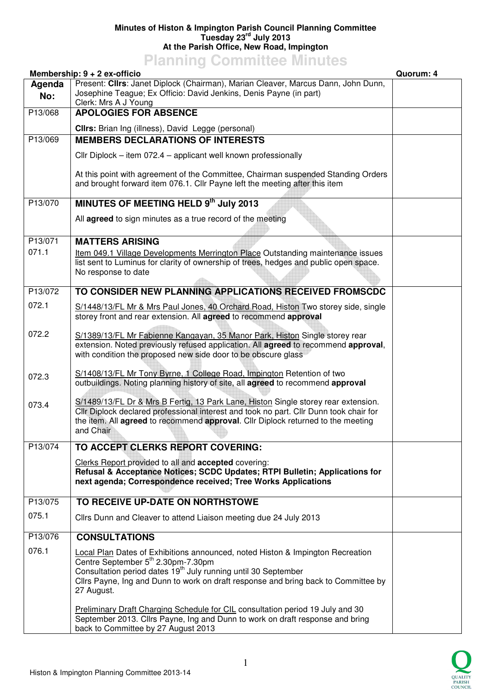## **Minutes of Histon & Impington Parish Council Planning Committee Tuesday 23rd July 2013 At the Parish Office, New Road, Impington**

## **Planning Committee Minutes**

|               | Membership: 9 + 2 ex-officio                                                                                                                                                                                                                                                                           | Quorum: 4 |
|---------------|--------------------------------------------------------------------------------------------------------------------------------------------------------------------------------------------------------------------------------------------------------------------------------------------------------|-----------|
| Agenda<br>No: | Present: Clirs: Janet Diplock (Chairman), Marian Cleaver, Marcus Dann, John Dunn,<br>Josephine Teague; Ex Officio: David Jenkins, Denis Payne (in part)<br>Clerk: Mrs A J Young                                                                                                                        |           |
| P13/068       | <b>APOLOGIES FOR ABSENCE</b>                                                                                                                                                                                                                                                                           |           |
|               | Cllrs: Brian Ing (illness), David Legge (personal)                                                                                                                                                                                                                                                     |           |
| P13/069       | <b>MEMBERS DECLARATIONS OF INTERESTS</b>                                                                                                                                                                                                                                                               |           |
|               | Cllr Diplock – item 072.4 – applicant well known professionally                                                                                                                                                                                                                                        |           |
|               |                                                                                                                                                                                                                                                                                                        |           |
|               | At this point with agreement of the Committee, Chairman suspended Standing Orders<br>and brought forward item 076.1. Cllr Payne left the meeting after this item                                                                                                                                       |           |
| P13/070       | MINUTES OF MEETING HELD 9th July 2013                                                                                                                                                                                                                                                                  |           |
|               | All agreed to sign minutes as a true record of the meeting                                                                                                                                                                                                                                             |           |
| P13/071       | <b>MATTERS ARISING</b>                                                                                                                                                                                                                                                                                 |           |
| 071.1         | Item 049.1 Village Developments Merrington Place Outstanding maintenance issues<br>list sent to Luminus for clarity of ownership of trees, hedges and public open space.<br>No response to date                                                                                                        |           |
| P13/072       | TO CONSIDER NEW PLANNING APPLICATIONS RECEIVED FROMSCDC                                                                                                                                                                                                                                                |           |
| 072.1         | S/1448/13/FL Mr & Mrs Paul Jones, 40 Orchard Road, Histon Two storey side, single<br>storey front and rear extension. All agreed to recommend approval                                                                                                                                                 |           |
| 072.2         | S/1389/13/FL Mr Fabienne Kangayan, 35 Manor Park, Histon Single storey rear<br>extension. Noted previously refused application. All agreed to recommend approval,<br>with condition the proposed new side door to be obscure glass                                                                     |           |
| 072.3         | S/1408/13/FL Mr Tony Byrne, 1 College Road, Impington Retention of two<br>outbuildings. Noting planning history of site, all agreed to recommend approval                                                                                                                                              |           |
| 073.4         | S/1489/13/FL Dr & Mrs B Fertig, 13 Park Lane, Histon Single storey rear extension.<br>Cllr Diplock declared professional interest and took no part. Cllr Dunn took chair for<br>the item. All agreed to recommend approval. Cllr Diplock returned to the meeting<br>and Chair                          |           |
| P13/074       | TO ACCEPT CLERKS REPORT COVERING:                                                                                                                                                                                                                                                                      |           |
|               | Clerks Report provided to all and accepted covering:<br>Refusal & Acceptance Notices; SCDC Updates; RTPI Bulletin; Applications for<br>next agenda; Correspondence received; Tree Works Applications                                                                                                   |           |
| P13/075       | TO RECEIVE UP-DATE ON NORTHSTOWE                                                                                                                                                                                                                                                                       |           |
| 075.1         | Cllrs Dunn and Cleaver to attend Liaison meeting due 24 July 2013                                                                                                                                                                                                                                      |           |
| P13/076       | <b>CONSULTATIONS</b>                                                                                                                                                                                                                                                                                   |           |
| 076.1         | Local Plan Dates of Exhibitions announced, noted Histon & Impington Recreation<br>Centre September 5th 2.30pm-7.30pm<br>Consultation period dates 19 <sup>th</sup> July running until 30 September<br>Cllrs Payne, Ing and Dunn to work on draft response and bring back to Committee by<br>27 August. |           |
|               | Preliminary Draft Charging Schedule for CIL consultation period 19 July and 30<br>September 2013. Cllrs Payne, Ing and Dunn to work on draft response and bring<br>back to Committee by 27 August 2013                                                                                                 |           |